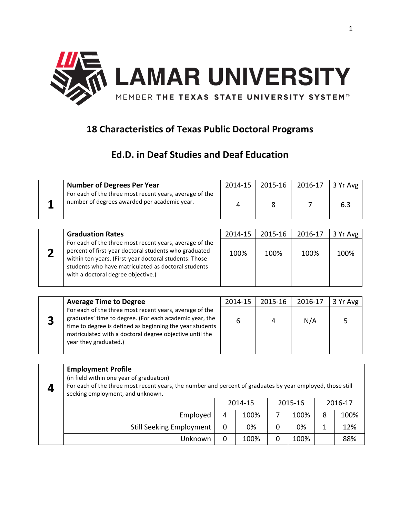

## **18 Characteristics of Texas Public Doctoral Programs**

## **Ed.D. in Deaf Studies and Deaf Education**

| <b>Number of Degrees Per Year</b>                                                                       | 2014-15 | 2015-16 | 2016-17 | $3$ Yr Avg |
|---------------------------------------------------------------------------------------------------------|---------|---------|---------|------------|
| For each of the three most recent years, average of the<br>number of degrees awarded per academic year. |         |         |         | 6.3        |

|   | <b>Graduation Rates</b>                                                                                                                                                                                                                                                 | 2014-15 | 2015-16 | 2016-17 | 3 Yr Avg |
|---|-------------------------------------------------------------------------------------------------------------------------------------------------------------------------------------------------------------------------------------------------------------------------|---------|---------|---------|----------|
| σ | For each of the three most recent years, average of the<br>percent of first-year doctoral students who graduated<br>within ten years. (First-year doctoral students: Those<br>students who have matriculated as doctoral students<br>with a doctoral degree objective.) | 100%    | 100%    | 100%    | 100%     |

|   | <b>Average Time to Degree</b>                                                                                                                                                                                                                                      | 2014-15 | 2015-16 | 2016-17 | 3 Yr Avg |
|---|--------------------------------------------------------------------------------------------------------------------------------------------------------------------------------------------------------------------------------------------------------------------|---------|---------|---------|----------|
| 3 | For each of the three most recent years, average of the<br>graduates' time to degree. (For each academic year, the<br>time to degree is defined as beginning the year students<br>matriculated with a doctoral degree objective until the<br>year they graduated.) |         |         | N/A     |          |

| <b>Employment Profile</b><br>(in field within one year of graduation)<br>For each of the three most recent years, the number and percent of graduates by year employed, those still<br>seeking employment, and unknown. |         |      |         |      |         |      |
|-------------------------------------------------------------------------------------------------------------------------------------------------------------------------------------------------------------------------|---------|------|---------|------|---------|------|
|                                                                                                                                                                                                                         | 2014-15 |      | 2015-16 |      | 2016-17 |      |
| Employed                                                                                                                                                                                                                | 4       | 100% |         | 100% | 8       | 100% |
| <b>Still Seeking Employment</b>                                                                                                                                                                                         | 0       | 0%   |         | 0%   |         | 12%  |
| Unknown                                                                                                                                                                                                                 | 0       | 100% | 0       | 100% |         | 88%  |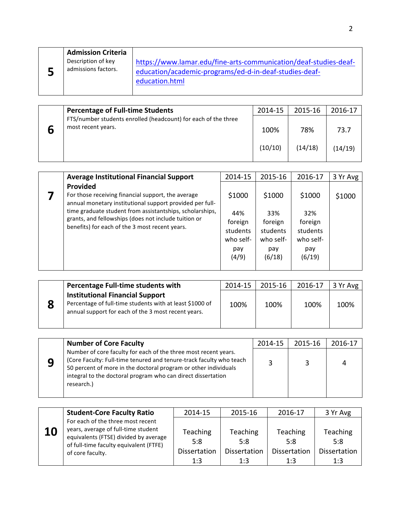|  | <b>Admission Criteria</b><br>Description of key<br>admissions factors. | https://www.lamar.edu/fine-arts-communication/deaf-studies-deaf-<br>education/academic-programs/ed-d-in-deaf-studies-deaf-<br>education.html |
|--|------------------------------------------------------------------------|----------------------------------------------------------------------------------------------------------------------------------------------|
|--|------------------------------------------------------------------------|----------------------------------------------------------------------------------------------------------------------------------------------|

| <b>Percentage of Full-time Students</b>                        | 2014-15 | 2015-16 | 2016-17 |
|----------------------------------------------------------------|---------|---------|---------|
| FTS/number students enrolled (headcount) for each of the three |         |         |         |
| most recent years.                                             | 100%    | 78%     | 73.7    |
|                                                                | (10/10) | (14/18) | (14/19) |

| <b>Average Institutional Financial Support</b>                                                                                                                                                                                                                                                   | 2014-15                                                           | 2015-16                                                            | 2016-17                                                            | 3 Yr Avg |
|--------------------------------------------------------------------------------------------------------------------------------------------------------------------------------------------------------------------------------------------------------------------------------------------------|-------------------------------------------------------------------|--------------------------------------------------------------------|--------------------------------------------------------------------|----------|
| Provided<br>For those receiving financial support, the average<br>annual monetary institutional support provided per full-<br>time graduate student from assistantships, scholarships,<br>grants, and fellowships (does not include tuition or<br>benefits) for each of the 3 most recent years. | \$1000<br>44%<br>foreign<br>students<br>who self-<br>pay<br>(4/9) | \$1000<br>33%<br>foreign<br>students<br>who self-<br>pay<br>(6/18) | \$1000<br>32%<br>foreign<br>students<br>who self-<br>pay<br>(6/19) | \$1000   |

|  | Percentage Full-time students with                                                                                                                        | 2014-15 | 2015-16 | 2016-17 | 3 Yr Avg |
|--|-----------------------------------------------------------------------------------------------------------------------------------------------------------|---------|---------|---------|----------|
|  | <b>Institutional Financial Support</b><br>Percentage of full-time students with at least \$1000 of<br>annual support for each of the 3 most recent years. | 100%    | 100%    | 100%    | 100%     |

| <b>Number of Core Faculty</b>                                                                                                                                                                                                                                                           | 2014-15 | 2015-16 | 2016-17 |
|-----------------------------------------------------------------------------------------------------------------------------------------------------------------------------------------------------------------------------------------------------------------------------------------|---------|---------|---------|
| Number of core faculty for each of the three most recent years.<br>(Core Faculty: Full-time tenured and tenure-track faculty who teach<br>50 percent of more in the doctoral program or other individuals<br>integral to the doctoral program who can direct dissertation<br>research.) |         |         |         |

|    | <b>Student-Core Faculty Ratio</b>                                        | 2014-15             | 2015-16      | 2016-17             | 3 Yr Avg            |
|----|--------------------------------------------------------------------------|---------------------|--------------|---------------------|---------------------|
|    | For each of the three most recent<br>years, average of full-time student |                     |              |                     |                     |
| 10 | equivalents (FTSE) divided by average                                    | Teaching            | Teaching     | Teaching            | Teaching            |
|    | of full-time faculty equivalent (FTFE)                                   | 5:8                 | 5:8          | 5:8                 | 5:8                 |
|    | of core faculty.                                                         | <b>Dissertation</b> | Dissertation | <b>Dissertation</b> | <b>Dissertation</b> |
|    |                                                                          | 1:3                 | 1:3          | 1:3                 | 1:3                 |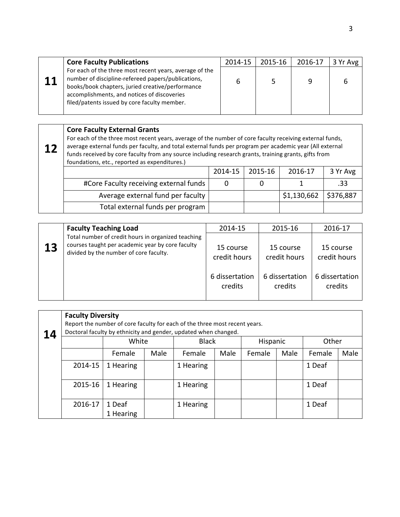|      | <b>Core Faculty Publications</b>                                                                                                                                                                                                                                 | 2014-15 | 2015-16 | 2016-17 | 3 Yr Avg |
|------|------------------------------------------------------------------------------------------------------------------------------------------------------------------------------------------------------------------------------------------------------------------|---------|---------|---------|----------|
| $11$ | For each of the three most recent years, average of the<br>number of discipline-refereed papers/publications,<br>books/book chapters, juried creative/performance<br>accomplishments, and notices of discoveries<br>filed/patents issued by core faculty member. |         |         | 9       |          |

## **Core Faculty External Grants**

**12** For each of the three most recent years, average of the number of core faculty receiving external funds, average external funds per faculty, and total external funds per program per academic year (All external funds received by core faculty from any source including research grants, training grants, gifts from foundations, etc., reported as expenditures.)  $2014-15$   $2015-16$   $2016-17$   $3 \text{Vr}$  Avg

|                                        | LU14-19 | 7019-10 | L-UITTY                               | <b>JILAVE</b> |
|----------------------------------------|---------|---------|---------------------------------------|---------------|
| #Core Faculty receiving external funds |         |         |                                       | .33           |
| Average external fund per faculty      |         |         | $\frac{1}{2}$ \$1,130,662 \ \$376,887 |               |
| Total external funds per program       |         |         |                                       |               |

|    | <b>Faculty Teaching Load</b>                                                                                                                     | 2014-15                   | 2015-16                   | 2016-17                   |
|----|--------------------------------------------------------------------------------------------------------------------------------------------------|---------------------------|---------------------------|---------------------------|
| 13 | Total number of credit hours in organized teaching<br>courses taught per academic year by core faculty<br>divided by the number of core faculty. | 15 course<br>credit hours | 15 course<br>credit hours | 15 course<br>credit hours |
|    |                                                                                                                                                  | 6 dissertation<br>credits | 6 dissertation<br>credits | 6 dissertation<br>credits |

| 14 | <b>Faculty Diversity</b><br>Report the number of core faculty for each of the three most recent years.<br>Doctoral faculty by ethnicity and gender, updated when changed. |                     |      |              |      |          |      |        |      |
|----|---------------------------------------------------------------------------------------------------------------------------------------------------------------------------|---------------------|------|--------------|------|----------|------|--------|------|
|    |                                                                                                                                                                           | White               |      | <b>Black</b> |      | Hispanic |      | Other  |      |
|    |                                                                                                                                                                           | Female              | Male | Female       | Male | Female   | Male | Female | Male |
|    | 2014-15                                                                                                                                                                   | 1 Hearing           |      | 1 Hearing    |      |          |      | 1 Deaf |      |
|    | 2015-16                                                                                                                                                                   | 1 Hearing           |      | 1 Hearing    |      |          |      | 1 Deaf |      |
|    | 2016-17                                                                                                                                                                   | 1 Deaf<br>1 Hearing |      | 1 Hearing    |      |          |      | 1 Deaf |      |